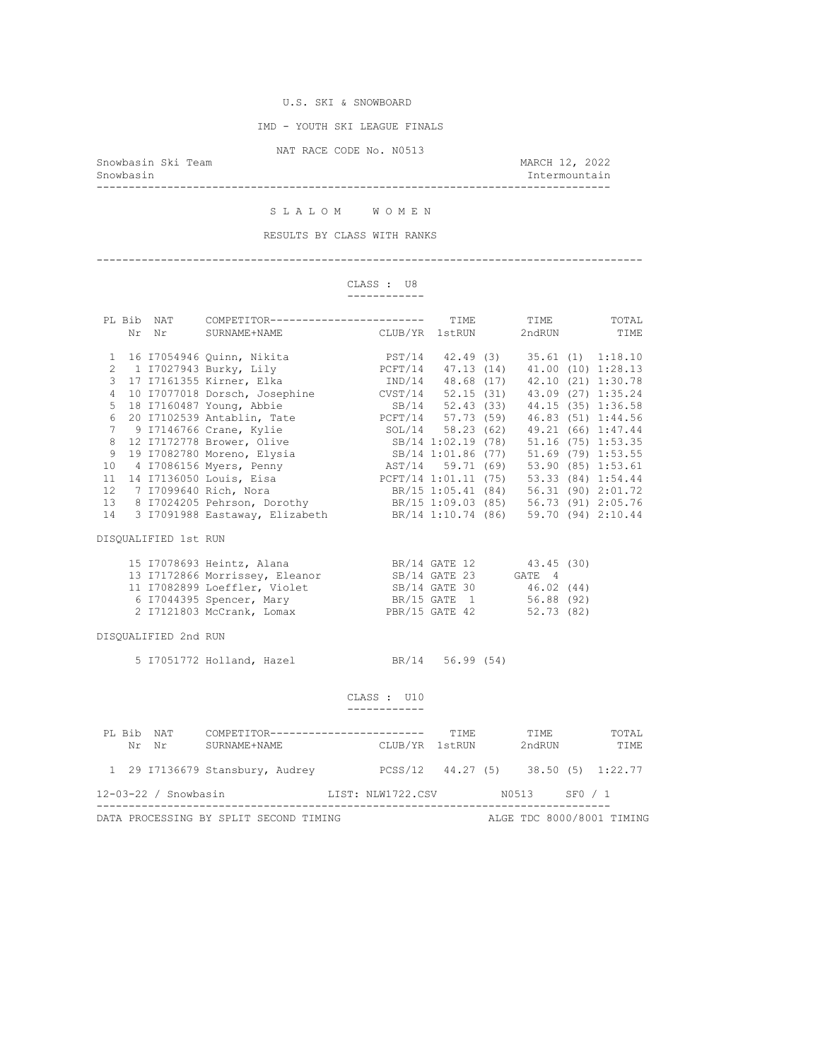IMD - YOUTH SKI LEAGUE FINALS

NAT RACE CODE No. N0513

Snowbasin Ski Team and Showbasin Ski Team and Showbasin Ski Team and MARCH 12, 2022<br>Snowbasin and March 12, 2022

Intermountain --------------------------------------------------------------------------------

S L A L O M W O M E N

RESULTS BY CLASS WITH RANKS

#### -------------------------------------------------------------------------------------

 CLASS : U8 ------------

|                                                      |  |                      | PL Bib NAT COMPETITOR------------------------ TIME TIME TOTAL Nr Nr SURNAME+NAME CLUB/YR 1stRUN 2ndRUN TIME                                                                                                                                      |                             |  |  |  |
|------------------------------------------------------|--|----------------------|--------------------------------------------------------------------------------------------------------------------------------------------------------------------------------------------------------------------------------------------------|-----------------------------|--|--|--|
| $\mathbf{1}$                                         |  |                      | 16 17054946 Quinn, Nikita $\overline{PST}/14$ 42.49 (3) 35.61 (1) 1:18.10                                                                                                                                                                        |                             |  |  |  |
| $\overline{2}$                                       |  |                      | 1 I7027943 Burky, Lily 6 PCFT/14 47.13 (14) 41.00 (10) 1:28.13                                                                                                                                                                                   |                             |  |  |  |
| 3                                                    |  |                      |                                                                                                                                                                                                                                                  |                             |  |  |  |
| $\overline{4}$                                       |  |                      |                                                                                                                                                                                                                                                  |                             |  |  |  |
| 5                                                    |  |                      | 17 17161355 Kirner, Elka 1ND/14 48.68 (17) 42.10 (21) 1:30.78<br>10 17077018 Dorsch, Josephine CVST/14 52.15 (31) 43.09 (27) 1:35.24<br>18 17160487 Young, Abbie SB/14 52.43 (33) 44.15 (35) 1:36.58<br>20 17102539 Antablin, Tate PCFT          |                             |  |  |  |
| $\sqrt{6}$                                           |  |                      |                                                                                                                                                                                                                                                  |                             |  |  |  |
| $7\phantom{.0}$                                      |  |                      |                                                                                                                                                                                                                                                  |                             |  |  |  |
| 8                                                    |  |                      |                                                                                                                                                                                                                                                  |                             |  |  |  |
| 9                                                    |  |                      |                                                                                                                                                                                                                                                  |                             |  |  |  |
| 10                                                   |  |                      | 12 17172778 Brower, Olive 58/14 1:02.19 (78) 51.16 (75) 1:53.35<br>19 17082780 Moreno, Elysia 58/14 1:01.86 (77) 51.69 (79) 1:53.55<br>4 17086156 Myers, Penny 1:53.61 AST/14 59.71 (69) 53.90 (85) 1:53.61                                      |                             |  |  |  |
| 11                                                   |  |                      | 14 I7136050 Louis, Eisa <b>PCFT/14 1:01.11 (75)</b> 53.33 (84) 1:54.44                                                                                                                                                                           |                             |  |  |  |
|                                                      |  |                      |                                                                                                                                                                                                                                                  |                             |  |  |  |
|                                                      |  |                      |                                                                                                                                                                                                                                                  |                             |  |  |  |
|                                                      |  |                      | 12 7 17099640 Rich, Nora<br>13 8 17024205 Pehrson, Dorothy<br>14 3 17091988 Eastaway, Elizabeth<br>14 3 17091988 Eastaway, Elizabeth<br>14 1:10.74 (86) 59.70 (94) 2:10.44                                                                       |                             |  |  |  |
|                                                      |  | DISQUALIFIED 1st RUN |                                                                                                                                                                                                                                                  |                             |  |  |  |
|                                                      |  |                      | 15 17078693 Heintz, Alana BR/14 GATE 12 (18)<br>13 17172866 Morrissey, Eleanor (18)<br>13 17172866 Morrissey, Eleanor (18)<br>14 GATE 23 (6ATE 4)<br>16 17044395 Spencer, Mary (18)<br>17044395 Spencer, Mary (18)<br>18, BR/15 GATE 156.88 (92) |                             |  |  |  |
|                                                      |  |                      |                                                                                                                                                                                                                                                  |                             |  |  |  |
|                                                      |  |                      |                                                                                                                                                                                                                                                  |                             |  |  |  |
|                                                      |  |                      |                                                                                                                                                                                                                                                  |                             |  |  |  |
|                                                      |  |                      | 2 I7121803 McCrank, Lomax PBR/15 GATE 42 52.73 (82)                                                                                                                                                                                              |                             |  |  |  |
|                                                      |  | DISQUALIFIED 2nd RUN |                                                                                                                                                                                                                                                  |                             |  |  |  |
|                                                      |  |                      | 5 17051772 Holland, Hazel BR/14 56.99 (54)                                                                                                                                                                                                       |                             |  |  |  |
|                                                      |  |                      |                                                                                                                                                                                                                                                  |                             |  |  |  |
|                                                      |  |                      |                                                                                                                                                                                                                                                  | CLASS : U10<br>____________ |  |  |  |
|                                                      |  |                      |                                                                                                                                                                                                                                                  |                             |  |  |  |
|                                                      |  |                      | PL Bib NAT COMPETITOR----------------------- TIME TIME TOTAL<br>Nr Nr SURNAME+NAME CLUB/YR 1stRUN 2ndRUN TIME                                                                                                                                    |                             |  |  |  |
|                                                      |  |                      | 1 29 I7136679 Stansbury, Audrey PCSS/12 44.27 (5) 38.50 (5) 1:22.77                                                                                                                                                                              |                             |  |  |  |
| 12-03-22 / Snowbasin MIST: NLW1722.CSV N0513 SF0 / 1 |  |                      |                                                                                                                                                                                                                                                  |                             |  |  |  |

DATA PROCESSING BY SPLIT SECOND TIMING **ALGE TDC 8000/8001 TIMING**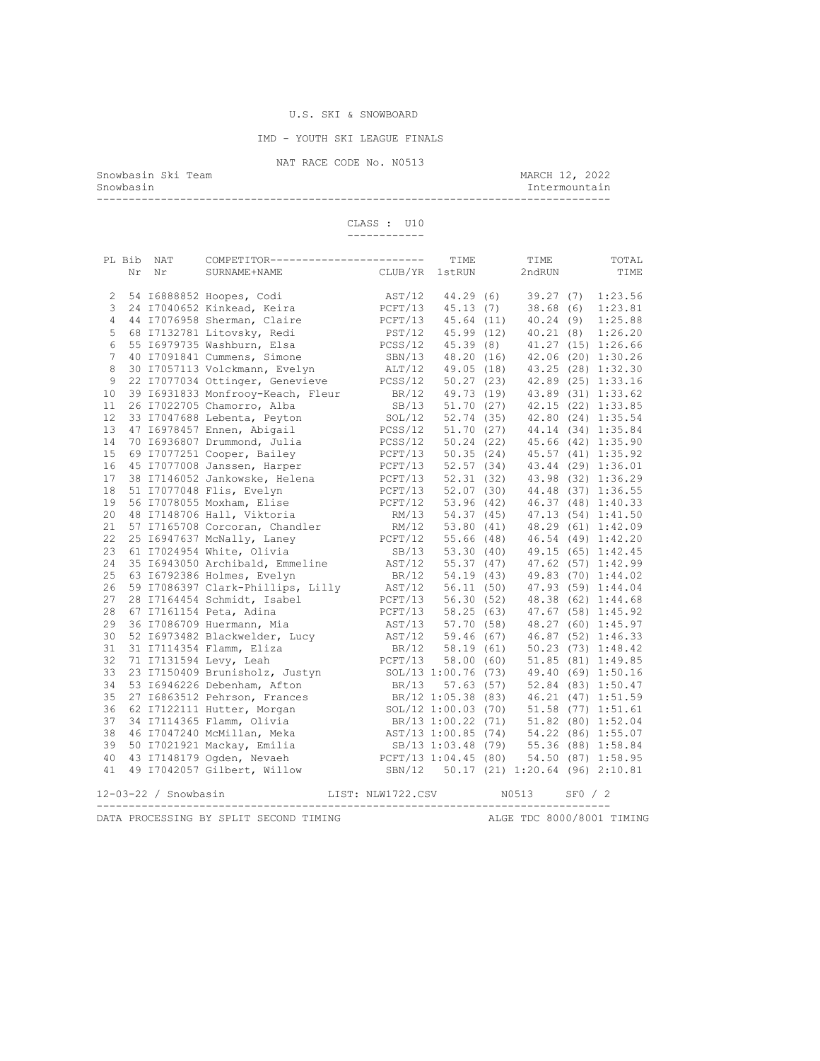### U.S. SKI & SNOWBOARD

IMD - YOUTH SKI LEAGUE FINALS

NAT RACE CODE No. N0513<br>Snowbasin Ski Team

Snowbasin Ski Team March 12, 2022 Snowbasin Intermountain

--------------------------------------------------------------------------------

 CLASS : U10 ------------

|                                                                     |  | PL Bib NAT             | COMPETITOR------------------------                                                    |  |                                                                                 | TIME             |  | TIME                                  |         | TOTAL                                 |
|---------------------------------------------------------------------|--|------------------------|---------------------------------------------------------------------------------------|--|---------------------------------------------------------------------------------|------------------|--|---------------------------------------|---------|---------------------------------------|
|                                                                     |  | Nr Nr                  | SURNAME+NAME                                                                          |  | CLUB/YR                                                                         | 1stRUN           |  | 2ndRUN                                |         | TIME                                  |
|                                                                     |  |                        |                                                                                       |  |                                                                                 |                  |  |                                       |         |                                       |
| 2                                                                   |  |                        | 54 I6888852 Hoopes, Codi                                                              |  | AST/12 44.29 (6) 39.27 (7) 1:23.56                                              |                  |  |                                       |         |                                       |
| 3                                                                   |  |                        | 24 I7040652 Kinkead, Keira                                                            |  | PCFT/13 45.13 (7)                                                               |                  |  | 38.68(6)                              |         | 1:23.81                               |
| 4                                                                   |  |                        | 44 I7076958 Sherman, Claire                                                           |  | PCFT/13 45.64 (11)                                                              |                  |  | 40.24(9)                              |         | 1:25.88                               |
| 5                                                                   |  |                        | 68 I7132781 Litovsky, Redi                                                            |  | PST/12 45.99 (12)                                                               |                  |  | 40.21(8)                              |         | 1:26.20                               |
| 6                                                                   |  |                        | 55 16979735 Washburn, Elsa                                                            |  | PCSS/12 45.39 (8)                                                               |                  |  |                                       |         | 41.27 (15) 1:26.66                    |
| $7\overline{ }$                                                     |  |                        | 40 I7091841 Cummens, Simone                                                           |  | SBN/13 48.20 (16)                                                               |                  |  |                                       |         | 42.06 (20) 1:30.26                    |
| 8                                                                   |  |                        | 30 I7057113 Volckmann, Evelyn                                                         |  | ALT/12 49.05 (18)                                                               |                  |  |                                       |         | 43.25 (28) 1:32.30                    |
| 9                                                                   |  |                        | 22 I7077034 Ottinger, Genevieve                                                       |  | PCSS/12 50.27 (23) 42.89 (25) 1:33.16                                           |                  |  |                                       |         |                                       |
| 10                                                                  |  |                        | 39 I6931833 Monfrooy-Keach, Fleur                                                     |  |                                                                                 |                  |  | BR/12 49.73 (19) 43.89 (31) 1:33.62   |         |                                       |
| 11                                                                  |  |                        | 26 I7022705 Chamorro, Alba                                                            |  |                                                                                 | SB/13 51.70 (27) |  |                                       |         | 42.15 (22) 1:33.85                    |
| 12                                                                  |  |                        | 33 I7047688 Lebenta, Peyton                                                           |  |                                                                                 |                  |  | SOL/12 52.74 (35) 42.80 (24) 1:35.54  |         |                                       |
| 13                                                                  |  |                        | 47 I6978457 Ennen, Abigail                                                            |  | PCSS/12 51.70 (27) 44.14 (34) 1:35.84                                           |                  |  |                                       |         |                                       |
| 14                                                                  |  |                        | 70 I6936807 Drummond, Julia                                                           |  |                                                                                 |                  |  | PCSS/12 50.24 (22) 45.66 (42) 1:35.90 |         |                                       |
| 15                                                                  |  |                        | 69 I7077251 Cooper, Bailey                                                            |  |                                                                                 |                  |  | PCFT/13 50.35 (24) 45.57 (41) 1:35.92 |         |                                       |
| 16                                                                  |  |                        | 45 I7077008 Janssen, Harper                                                           |  |                                                                                 |                  |  |                                       |         | PCFT/13 52.57 (34) 43.44 (29) 1:36.01 |
| 17                                                                  |  |                        | 38 I7146052 Jankowske, Helena                                                         |  |                                                                                 |                  |  |                                       |         | PCFT/13 52.31 (32) 43.98 (32) 1:36.29 |
| 18                                                                  |  |                        | 51 I7077048 Flis, Evelyn                                                              |  | PCFT/13 52.07 (30) 44.48 (37) 1:36.55                                           |                  |  |                                       |         |                                       |
| 19                                                                  |  |                        | 56 I7078055 Moxham, Elise                                                             |  | PCFT/12 53.96 (42) 46.37 (48) 1:40.33                                           |                  |  |                                       |         |                                       |
| 20                                                                  |  |                        | 48 I7148706 Hall, Viktoria                                                            |  |                                                                                 |                  |  | RM/13 54.37 (45) 47.13 (54) 1:41.50   |         |                                       |
| 21                                                                  |  |                        | 57 I7165708 Corcoran, Chandler                                                        |  |                                                                                 |                  |  |                                       |         | RM/12 53.80 (41) 48.29 (61) 1:42.09   |
| 22                                                                  |  |                        | 25 I6947637 McNally, Laney                                                            |  | PCFT/12 55.66 (48) 46.54 (49) 1:42.20                                           |                  |  |                                       |         |                                       |
| 23                                                                  |  |                        | 61 I7024954 White, Olivia                                                             |  |                                                                                 | SB/13 53.30 (40) |  |                                       |         | 49.15 (65) 1:42.45                    |
| 24                                                                  |  |                        | 35 I6943050 Archibald, Emmeline                                                       |  | AST/12 55.37 (47) 47.62 (57) 1:42.99                                            |                  |  |                                       |         |                                       |
| 25                                                                  |  |                        | 63 I6792386 Holmes, Evelyn                                                            |  |                                                                                 |                  |  | BR/12 54.19 (43) 49.83 (70) 1:44.02   |         |                                       |
| 26                                                                  |  |                        | 59 I7086397 Clark-Phillips, Lilly                                                     |  | AST/12 56.11 (50) 47.93 (59) 1:44.04                                            |                  |  |                                       |         |                                       |
| 27                                                                  |  |                        | 28 I7164454 Schmidt, Isabel                                                           |  | PCFT/13 56.30 (52) 48.38 (62) 1:44.68                                           |                  |  |                                       |         |                                       |
| 28                                                                  |  |                        | 67 I7161154 Peta, Adina                                                               |  | $PCFT/13$ 58.25 (63) 47.67 (58) 1:45.92                                         |                  |  |                                       |         |                                       |
| 29                                                                  |  |                        | 36 I7086709 Huermann, Mia                                                             |  | AST/13 57.70 (58) 48.27 (60) 1:45.97                                            |                  |  |                                       |         |                                       |
| 30                                                                  |  |                        | 52 I6973482 Blackwelder, Lucy                                                         |  | AST/12 59.46 (67) 46.87 (52) 1:46.33                                            |                  |  |                                       |         |                                       |
| 31                                                                  |  |                        | 31 I7114354 Flamm, Eliza                                                              |  | BR/12 58.19 (61)                                                                |                  |  |                                       |         | $50.23$ (73) $1:48.42$                |
| 32                                                                  |  |                        | 71 I7131594 Levy, Leah                                                                |  | $PCFT/13$ 58.00 (60)                                                            |                  |  |                                       |         | 51.85 (81) 1:49.85                    |
| 33                                                                  |  |                        | 23 I7150409 Brunisholz, Justyn<br>53 I6946226 Debenham, Afton                         |  | SOL/13 1:00.76 (73)                                                             |                  |  |                                       |         | 49.40 (69) 1:50.16                    |
| 34                                                                  |  |                        |                                                                                       |  |                                                                                 | BR/13 57.63 (57) |  |                                       |         | 52.84 (83) 1:50.47                    |
| 35                                                                  |  |                        | 27 I6863512 Pehrson, Frances                                                          |  |                                                                                 |                  |  | BR/12 1:05.38 (83) 46.21 (47) 1:51.59 |         |                                       |
| 36                                                                  |  |                        | 62 I7122111 Hutter, Morgan                                                            |  |                                                                                 |                  |  |                                       |         |                                       |
| 37                                                                  |  |                        | 34 I7114365 Flamm, Olivia                                                             |  | SOL/12 1:00.03 (70) 51.58 (77) 1:51.61<br>BR/13 1:00.22 (71) 51.82 (80) 1:52.04 |                  |  |                                       |         |                                       |
| 38                                                                  |  |                        | 46 I7047240 McMillan, Meka<br>50 I7021921 Mackay, Emilia<br>43 I7148179 Ogden, Nevaeh |  |                                                                                 |                  |  |                                       |         | 54.22 (86) 1:55.07                    |
| 39                                                                  |  |                        |                                                                                       |  | AST/13 1:00.85 (74)<br>SB/13 1:03.48 (79)                                       |                  |  |                                       |         | 55.36 (88) 1:58.84                    |
| 40                                                                  |  |                        |                                                                                       |  | PCFT/13 1:04.45 (80)                                                            |                  |  |                                       |         | 54.50 (87) 1:58.95                    |
| 41                                                                  |  |                        | 49 I7042057 Gilbert, Willow                                                           |  | SBN/12 50.17 (21) 1:20.64 (96) 2:10.81                                          |                  |  |                                       |         |                                       |
|                                                                     |  |                        |                                                                                       |  |                                                                                 |                  |  |                                       |         |                                       |
|                                                                     |  | $12-03-22$ / Snowbasin |                                                                                       |  | LIST: NLW1722.CSV                                                               |                  |  | N0513                                 | SFO / 2 |                                       |
| ALGE TDC 8000/8001 TIMING<br>DATA PROCESSING BY SPLIT SECOND TIMING |  |                        |                                                                                       |  |                                                                                 |                  |  |                                       |         |                                       |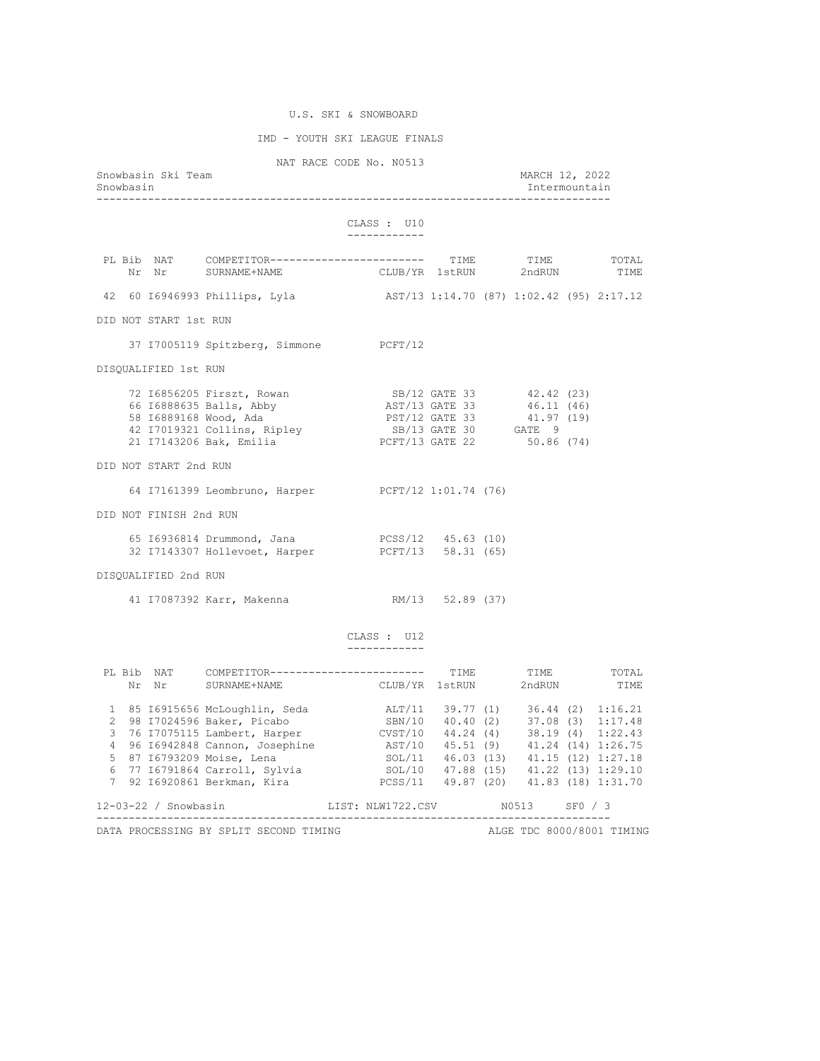# U.S. SKI & SNOWBOARD

## IMD - YOUTH SKI LEAGUE FINALS

NAT RACE CODE No. N0513

| Snowbasin Ski Team<br>Snowbasin                                                                                                                                                                                                      |                                 |  | MARCH 12, 2022<br>Intermountain |      |
|--------------------------------------------------------------------------------------------------------------------------------------------------------------------------------------------------------------------------------------|---------------------------------|--|---------------------------------|------|
|                                                                                                                                                                                                                                      | CLASS : U10<br>____________     |  |                                 |      |
| PL Bib NAT COMPETITOR------------------------ TIME TIME TOTAL Nr Nr SURNAME+NAME CLUB/YR 1stRUN 2ndRUN TIME                                                                                                                          |                                 |  |                                 |      |
| 42 60 16946993 Phillips, Lyla (2017) 2:14.70 (87) 1:02.42 (95) 2:17.12                                                                                                                                                               |                                 |  |                                 |      |
| DID NOT START 1st RUN                                                                                                                                                                                                                |                                 |  |                                 |      |
| 37 I7005119 Spitzberg, Simmone PCFT/12                                                                                                                                                                                               |                                 |  |                                 |      |
| DISQUALIFIED 1st RUN                                                                                                                                                                                                                 |                                 |  |                                 |      |
|                                                                                                                                                                                                                                      |                                 |  |                                 |      |
| DID NOT START 2nd RUN                                                                                                                                                                                                                |                                 |  |                                 |      |
| 64 I7161399 Leombruno, Harper PCFT/12 1:01.74 (76)                                                                                                                                                                                   |                                 |  |                                 |      |
| DID NOT FINISH 2nd RUN                                                                                                                                                                                                               |                                 |  |                                 |      |
| 65 16936814 Drummond, Jana (10)<br>32 17143307 Hollevoet, Harper (12) PCFT/13 58.31 (65)                                                                                                                                             |                                 |  |                                 |      |
| DISQUALIFIED 2nd RUN                                                                                                                                                                                                                 |                                 |  |                                 |      |
| 41 I7087392 Karr, Makenna                                                                                                                                                                                                            | RM/13 52.89 (37)                |  |                                 |      |
|                                                                                                                                                                                                                                      | CLASS : U12<br>------------     |  |                                 |      |
| PL Bib NAT COMPETITOR------------------------ TIME TIME TOTAL<br>Nr Nr SURNAME+NAME                                                                                                                                                  | CLUB/YR 1stRUN 2ndRUN           |  |                                 | TIME |
| 1 85 16915656 McLoughlin, Seda<br>2 98 17024596 Baker, Picabo SBN/10 40.40 (2) 37.08 (3) 1:16.21<br>3 76 17075115 Lambert, Harper CVST/10 44.24 (4) 38.19 (4) 1:22.43<br>4 96 16942848 Cannon, Josephine AST/10 45.51 (9) 41.24 (14) |                                 |  |                                 |      |
| 12-03-22 / Snowbasin                                                                                                                                                                                                                 | LIST: NLW1722.CSV N0513 SF0 / 3 |  |                                 |      |

DATA PROCESSING BY SPLIT SECOND TIMING **ALGE TO SOUL ALGE TDC 8000/8001 TIMING**